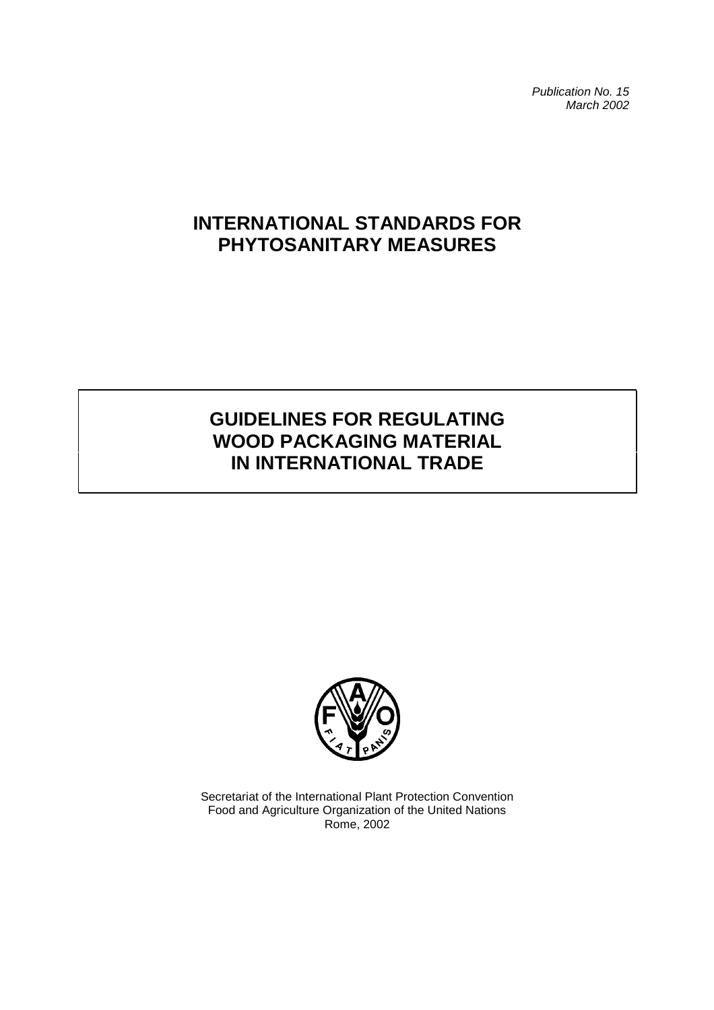*Publication No. 15 March 2002*

# **INTERNATIONAL STANDARDS FOR PHYTOSANITARY MEASURES**

# **GUIDELINES FOR REGULATING WOOD PACKAGING MATERIAL IN INTERNATIONAL TRADE**



Secretariat of the International Plant Protection Convention Food and Agriculture Organization of the United Nations Rome, 2002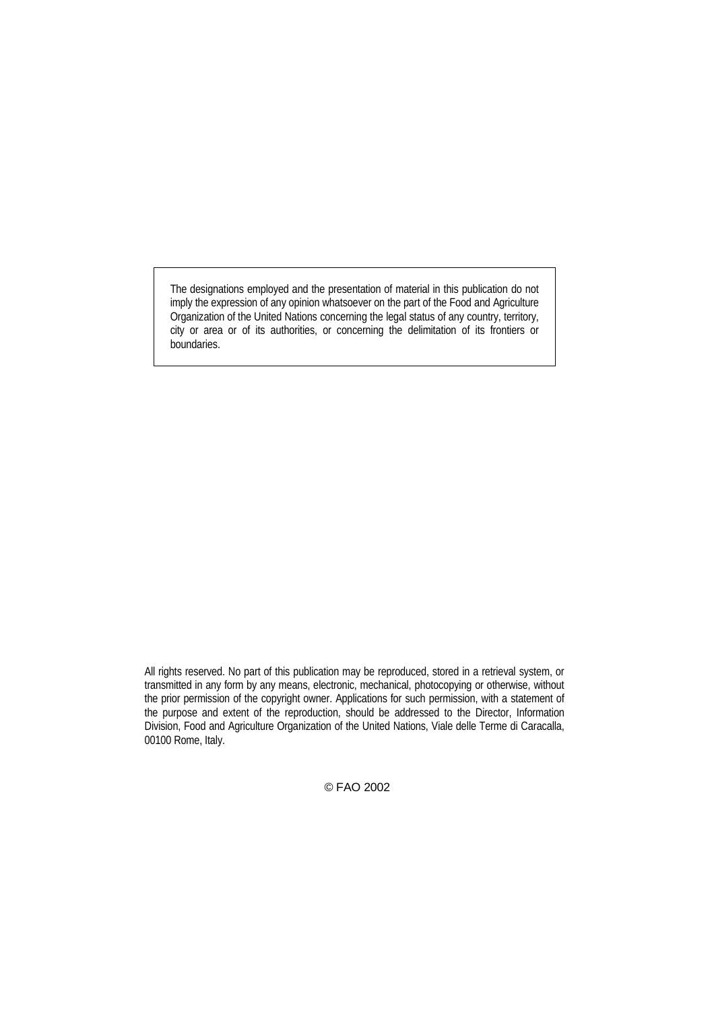The designations employed and the presentation of material in this publication do not imply the expression of any opinion whatsoever on the part of the Food and Agriculture Organization of the United Nations concerning the legal status of any country, territory, city or area or of its authorities, or concerning the delimitation of its frontiers or boundaries.

All rights reserved. No part of this publication may be reproduced, stored in a retrieval system, or transmitted in any form by any means, electronic, mechanical, photocopying or otherwise, without the prior permission of the copyright owner. Applications for such permission, with a statement of the purpose and extent of the reproduction, should be addressed to the Director, Information Division, Food and Agriculture Organization of the United Nations, Viale delle Terme di Caracalla, 00100 Rome, Italy.

© FAO 2002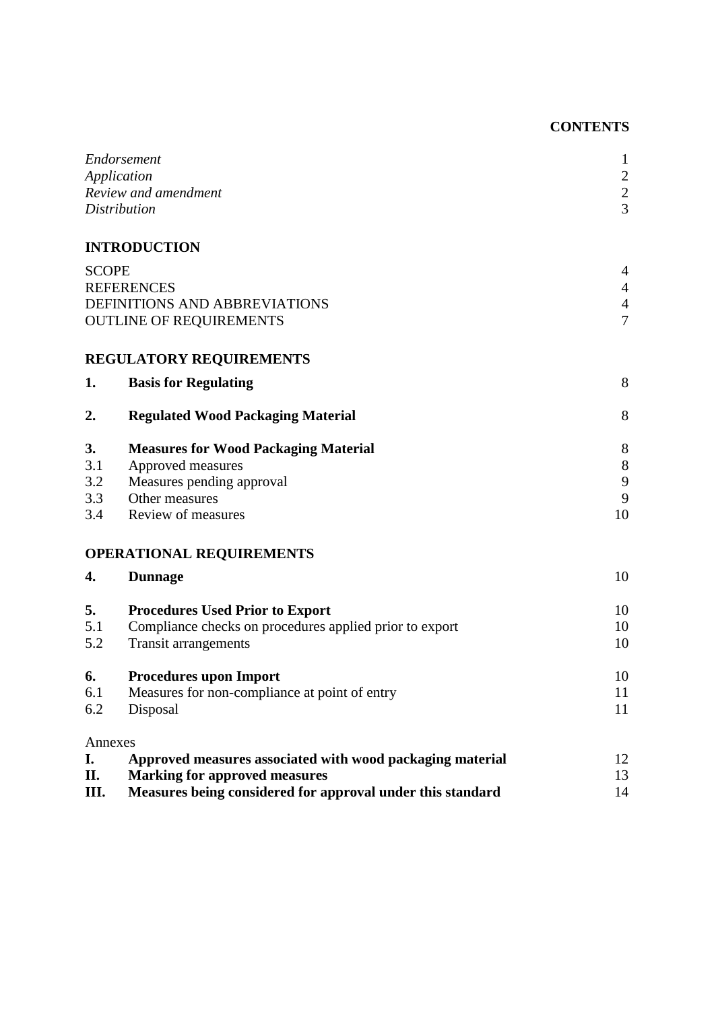# **CONTENTS**

|              | Endorsement<br>Application<br>Review and amendment         | $\mathbf{1}$<br>$\frac{2}{2}$ |
|--------------|------------------------------------------------------------|-------------------------------|
|              | <b>Distribution</b>                                        | $\overline{3}$                |
|              | <b>INTRODUCTION</b>                                        |                               |
| <b>SCOPE</b> |                                                            | $\overline{4}$                |
|              | <b>REFERENCES</b>                                          | $\overline{4}$                |
|              | DEFINITIONS AND ABBREVIATIONS                              |                               |
|              | <b>OUTLINE OF REQUIREMENTS</b>                             | $\overline{7}$                |
|              | <b>REGULATORY REQUIREMENTS</b>                             |                               |
| 1.           | <b>Basis for Regulating</b>                                | 8                             |
| 2.           | <b>Regulated Wood Packaging Material</b>                   | 8                             |
| 3.           | <b>Measures for Wood Packaging Material</b>                | 8                             |
| 3.1          | Approved measures                                          | $8\,$                         |
| 3.2          | Measures pending approval                                  | 9                             |
| 3.3          | Other measures                                             | 9                             |
| 3.4          | Review of measures                                         | 10                            |
|              | <b>OPERATIONAL REQUIREMENTS</b>                            |                               |
| 4.           | <b>Dunnage</b>                                             | 10                            |
| 5.           | <b>Procedures Used Prior to Export</b>                     | 10                            |
| 5.1          | Compliance checks on procedures applied prior to export    | 10                            |
| 5.2          | <b>Transit arrangements</b>                                | 10                            |
| 6.           | <b>Procedures upon Import</b>                              | 10                            |
| 6.1          | Measures for non-compliance at point of entry              | 11                            |
| 6.2          | Disposal                                                   | 11                            |
| Annexes      |                                                            |                               |
| I.           | Approved measures associated with wood packaging material  | 12                            |
| П.           | <b>Marking for approved measures</b>                       | 13                            |
| III.         | Measures being considered for approval under this standard | 14                            |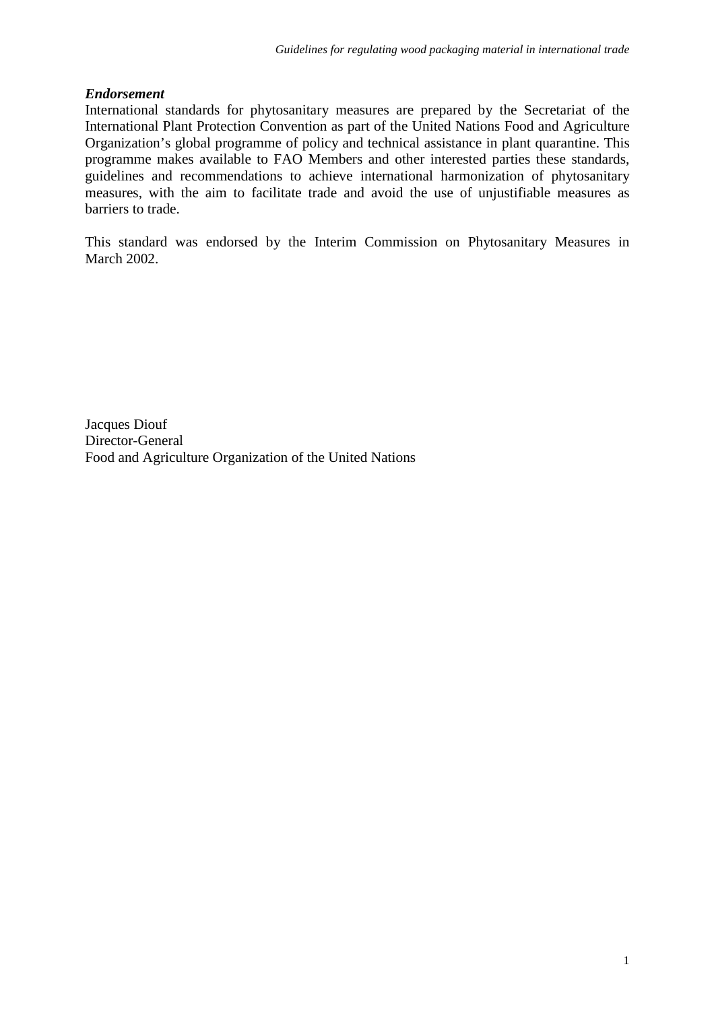# *Endorsement*

International standards for phytosanitary measures are prepared by the Secretariat of the International Plant Protection Convention as part of the United Nations Food and Agriculture Organization's global programme of policy and technical assistance in plant quarantine. This programme makes available to FAO Members and other interested parties these standards, guidelines and recommendations to achieve international harmonization of phytosanitary measures, with the aim to facilitate trade and avoid the use of unjustifiable measures as barriers to trade.

This standard was endorsed by the Interim Commission on Phytosanitary Measures in March 2002.

Jacques Diouf Director-General Food and Agriculture Organization of the United Nations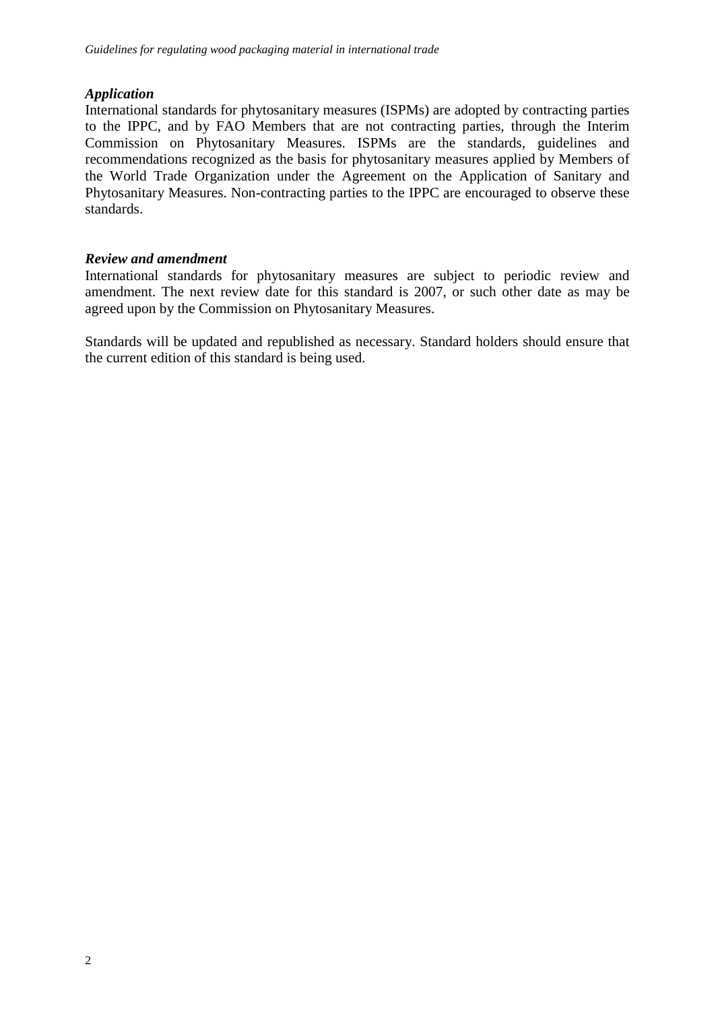# *Application*

International standards for phytosanitary measures (ISPMs) are adopted by contracting parties to the IPPC, and by FAO Members that are not contracting parties, through the Interim Commission on Phytosanitary Measures. ISPMs are the standards, guidelines and recommendations recognized as the basis for phytosanitary measures applied by Members of the World Trade Organization under the Agreement on the Application of Sanitary and Phytosanitary Measures. Non-contracting parties to the IPPC are encouraged to observe these standards.

# *Review and amendment*

International standards for phytosanitary measures are subject to periodic review and amendment. The next review date for this standard is 2007, or such other date as may be agreed upon by the Commission on Phytosanitary Measures.

Standards will be updated and republished as necessary. Standard holders should ensure that the current edition of this standard is being used.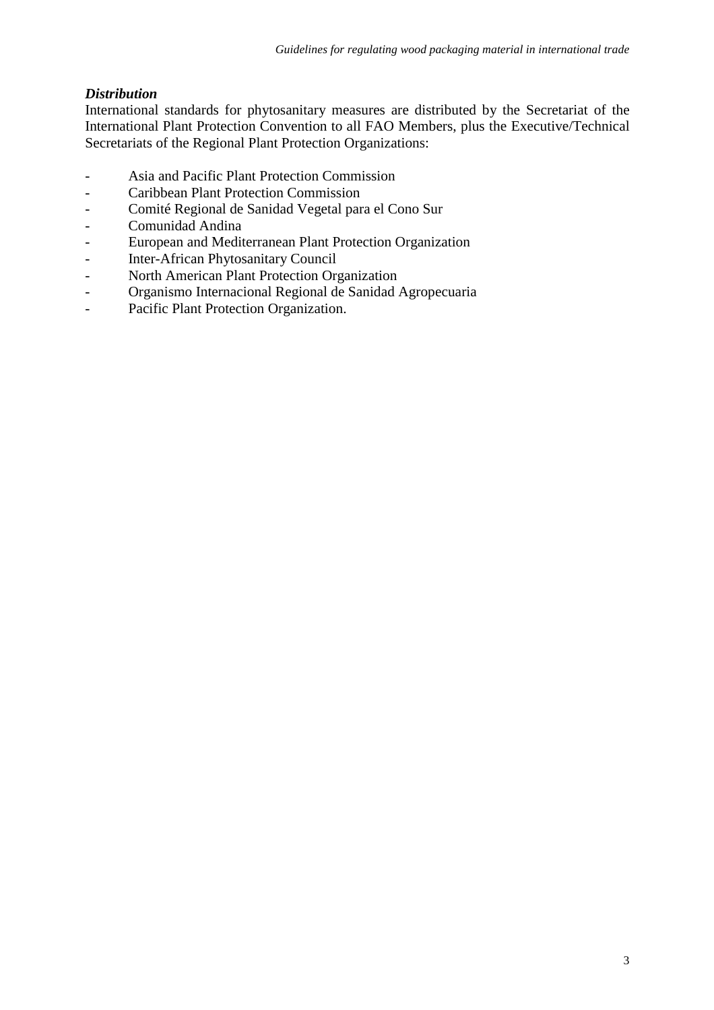# *Distribution*

International standards for phytosanitary measures are distributed by the Secretariat of the International Plant Protection Convention to all FAO Members, plus the Executive/Technical Secretariats of the Regional Plant Protection Organizations:

- Asia and Pacific Plant Protection Commission
- Caribbean Plant Protection Commission
- Comité Regional de Sanidad Vegetal para el Cono Sur
- Comunidad Andina
- European and Mediterranean Plant Protection Organization
- Inter-African Phytosanitary Council
- North American Plant Protection Organization
- Organismo Internacional Regional de Sanidad Agropecuaria
- Pacific Plant Protection Organization.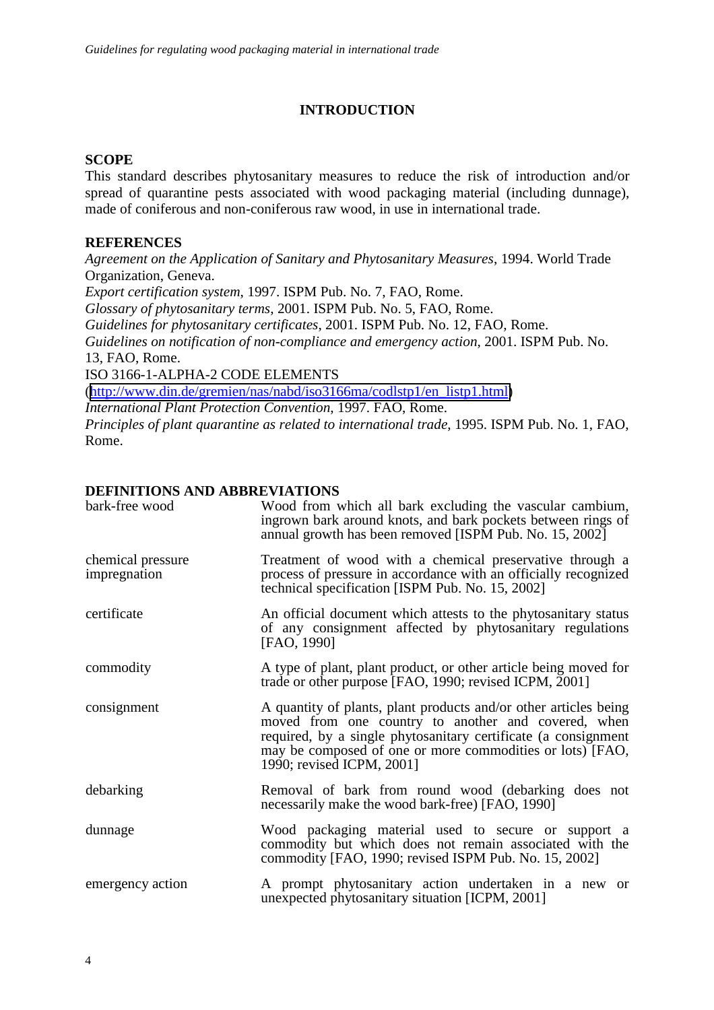# **INTRODUCTION**

#### **SCOPE**

Rome.

This standard describes phytosanitary measures to reduce the risk of introduction and/or spread of quarantine pests associated with wood packaging material (including dunnage), made of coniferous and non-coniferous raw wood, in use in international trade.

### **REFERENCES**

*Agreement on the Application of Sanitary and Phytosanitary Measures*, 1994. World Trade Organization, Geneva. *Export certification system*, 1997. ISPM Pub. No. 7, FAO, Rome. *Glossary of phytosanitary terms*, 2001. ISPM Pub. No. 5, FAO, Rome. *Guidelines for phytosanitary certificates*, 2001. ISPM Pub. No. 12, FAO, Rome. *Guidelines on notification of non-compliance and emergency action*, 2001. ISPM Pub. No. 13, FAO, Rome. ISO 3166-1-ALPHA-2 CODE ELEMENTS ([http://www.din.de/gremien/nas/nabd/iso3166ma/codlstp1/en\\_listp1.html\)](http://www.din.de/gremien/nas/nabd/iso3166ma/codlstp1/en_listp1.html) *International Plant Protection Convention*, 1997. FAO, Rome. *Principles of plant quarantine as related to international trade*, 1995. ISPM Pub. No. 1, FAO,

| DEFINITIONS AND ABBREVIATIONS     |                                                                                                                                                                                                                                                                                     |
|-----------------------------------|-------------------------------------------------------------------------------------------------------------------------------------------------------------------------------------------------------------------------------------------------------------------------------------|
| bark-free wood                    | Wood from which all bark excluding the vascular cambium,<br>ingrown bark around knots, and bark pockets between rings of<br>annual growth has been removed [ISPM Pub. No. 15, 2002]                                                                                                 |
| chemical pressure<br>impregnation | Treatment of wood with a chemical preservative through a<br>process of pressure in accordance with an officially recognized<br>technical specification [ISPM Pub. No. 15, 2002]                                                                                                     |
| certificate                       | An official document which attests to the phytosanitary status<br>of any consignment affected by phytosanitary regulations<br>[FAO, 1990]                                                                                                                                           |
| commodity                         | A type of plant, plant product, or other article being moved for<br>trade or other purpose [FAO, 1990; revised ICPM, 2001]                                                                                                                                                          |
| consignment                       | A quantity of plants, plant products and/or other articles being<br>moved from one country to another and covered, when<br>required, by a single phytosanitary certificate (a consignment<br>may be composed of one or more commodities or lots) [FAO,<br>1990; revised ICPM, 2001] |
| debarking                         | Removal of bark from round wood (debarking does not<br>necessarily make the wood bark-free) [FAO, 1990]                                                                                                                                                                             |
| dunnage                           | Wood packaging material used to secure or support a<br>commodity but which does not remain associated with the<br>commodity [FAO, 1990; revised ISPM Pub. No. 15, 2002]                                                                                                             |
| emergency action                  | A prompt phytosanitary action undertaken in a new or<br>unexpected phytosanitary situation [ICPM, 2001]                                                                                                                                                                             |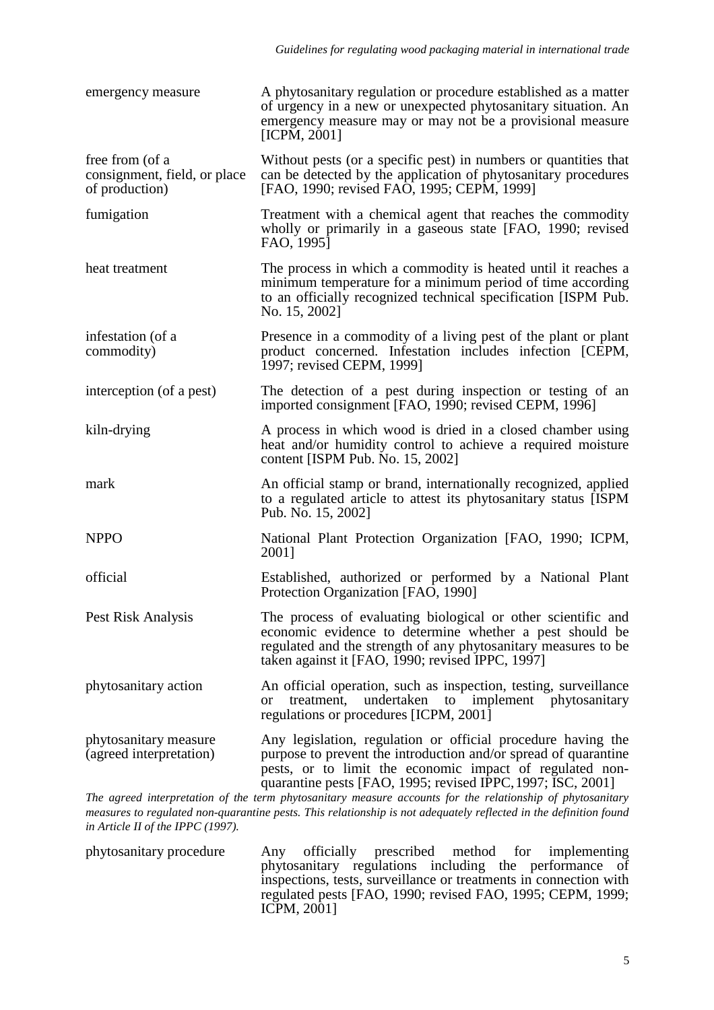| emergency measure                                                 | A phytosanitary regulation or procedure established as a matter<br>of urgency in a new or unexpected phytosanitary situation. An<br>emergency measure may or may not be a provisional measure<br>[ICPM, $2001$ ]                                           |
|-------------------------------------------------------------------|------------------------------------------------------------------------------------------------------------------------------------------------------------------------------------------------------------------------------------------------------------|
| free from (of a<br>consignment, field, or place<br>of production) | Without pests (or a specific pest) in numbers or quantities that<br>can be detected by the application of phytosanitary procedures<br>[FAO, 1990; revised FAO, 1995; CEPM, 1999]                                                                           |
| fumigation                                                        | Treatment with a chemical agent that reaches the commodity<br>wholly or primarily in a gaseous state [FAO, 1990; revised]<br>FAO, 1995]                                                                                                                    |
| heat treatment                                                    | The process in which a commodity is heated until it reaches a<br>minimum temperature for a minimum period of time according<br>to an officially recognized technical specification [ISPM Pub.<br>No. 15, 2002]                                             |
| infestation (of a<br>commodity)                                   | Presence in a commodity of a living pest of the plant or plant<br>product concerned. Infestation includes infection [CEPM,<br>1997; revised CEPM, 1999]                                                                                                    |
| interception (of a pest)                                          | The detection of a pest during inspection or testing of an<br>imported consignment [FAO, 1990; revised CEPM, 1996]                                                                                                                                         |
| kiln-drying                                                       | A process in which wood is dried in a closed chamber using<br>heat and/or humidity control to achieve a required moisture<br>content [ISPM Pub. No. 15, 2002]                                                                                              |
| mark                                                              | An official stamp or brand, internationally recognized, applied<br>to a regulated article to attest its phytosanitary status [ISPM]<br>Pub. No. 15, 2002]                                                                                                  |
| <b>NPPO</b>                                                       | National Plant Protection Organization [FAO, 1990; ICPM,<br>2001]                                                                                                                                                                                          |
| official                                                          | Established, authorized or performed by a National Plant<br>Protection Organization [FAO, 1990]                                                                                                                                                            |
| Pest Risk Analysis                                                | The process of evaluating biological or other scientific and<br>economic evidence to determine whether a pest should be<br>regulated and the strength of any phytosanitary measures to be<br>taken against it [FAO, 1990; revised IPPC, 1997]              |
| phytosanitary action                                              | An official operation, such as inspection, testing, surveillance<br>to implement phytosanitary<br>undertaken<br>treatment,<br><sub>or</sub><br>regulations or procedures [ICPM, 2001]                                                                      |
| phytosanitary measure<br>(agreed interpretation)                  | Any legislation, regulation or official procedure having the<br>purpose to prevent the introduction and/or spread of quarantine<br>pests, or to limit the economic impact of regulated non-<br>quarantine pests [FAO, 1995; revised IPPC, 1997; ISC, 2001] |

*The agreed interpretation of the term phytosanitary measure accounts for the relationship of phytosanitary measures to regulated non-quarantine pests. This relationship is not adequately reflected in the definition found in Article II of the IPPC (1997).*

phytosanitary procedure Any officially prescribed method for implementing phytosanitary regulations including the performance of inspections, tests, surveillance or treatments in connection with regulated pests [FAO, 1990; revised FAO, 1995; CEPM, 1999; ICPM, 2001]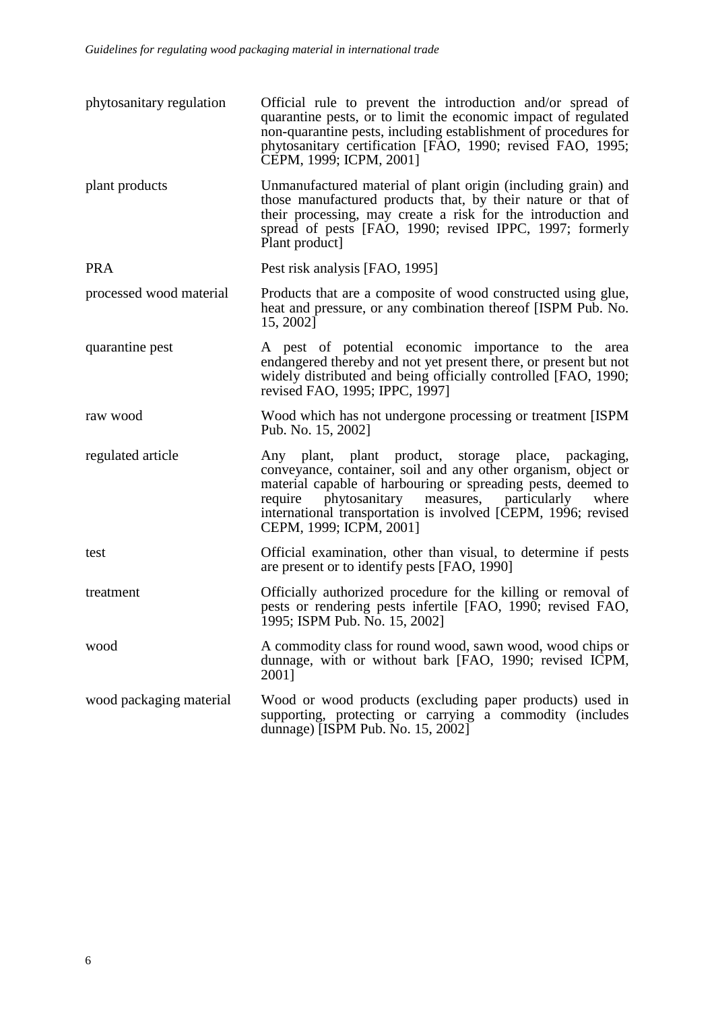| phytosanitary regulation | Official rule to prevent the introduction and/or spread of<br>quarantine pests, or to limit the economic impact of regulated<br>non-quarantine pests, including establishment of procedures for<br>phytosanitary certification [FAO, 1990; revised FAO, 1995;<br>CEPM, 1999; ICPM, 2001]                                                           |
|--------------------------|----------------------------------------------------------------------------------------------------------------------------------------------------------------------------------------------------------------------------------------------------------------------------------------------------------------------------------------------------|
| plant products           | Unmanufactured material of plant origin (including grain) and<br>those manufactured products that, by their nature or that of<br>their processing, may create a risk for the introduction and<br>spread of pests [FAO, 1990; revised IPPC, 1997; formerly<br>Plant product                                                                         |
| <b>PRA</b>               | Pest risk analysis [FAO, 1995]                                                                                                                                                                                                                                                                                                                     |
| processed wood material  | Products that are a composite of wood constructed using glue,<br>heat and pressure, or any combination thereof [ISPM Pub. No.<br>15, 2002]                                                                                                                                                                                                         |
| quarantine pest          | A pest of potential economic importance to the area<br>endangered thereby and not yet present there, or present but not<br>widely distributed and being officially controlled [FAO, 1990;<br>revised FAO, 1995; IPPC, 1997]                                                                                                                        |
| raw wood                 | Wood which has not undergone processing or treatment [ISPM]<br>Pub. No. 15, 2002]                                                                                                                                                                                                                                                                  |
| regulated article        | Any plant, plant product, storage place,<br>packaging,<br>conveyance, container, soil and any other organism, object or<br>material capable of harbouring or spreading pests, deemed to<br>phytosanitary<br>measures, particularly<br>require<br>where<br>international transportation is involved [CEPM, 1996; revised<br>CEPM, 1999; ICPM, 2001] |
| test                     | Official examination, other than visual, to determine if pests<br>are present or to identify pests [FAO, 1990]                                                                                                                                                                                                                                     |
| treatment                | Officially authorized procedure for the killing or removal of<br>pests or rendering pests infertile [FAO, 1990; revised FAO,<br>1995; ISPM Pub. No. 15, 2002]                                                                                                                                                                                      |
| wood                     | A commodity class for round wood, sawn wood, wood chips or<br>dunnage, with or without bark [FAO, 1990; revised ICPM,<br>20011                                                                                                                                                                                                                     |
| wood packaging material  | Wood or wood products (excluding paper products) used in<br>supporting, protecting or carrying a commodity (includes<br>dunnage) [ISPM Pub. No. 15, 2002]                                                                                                                                                                                          |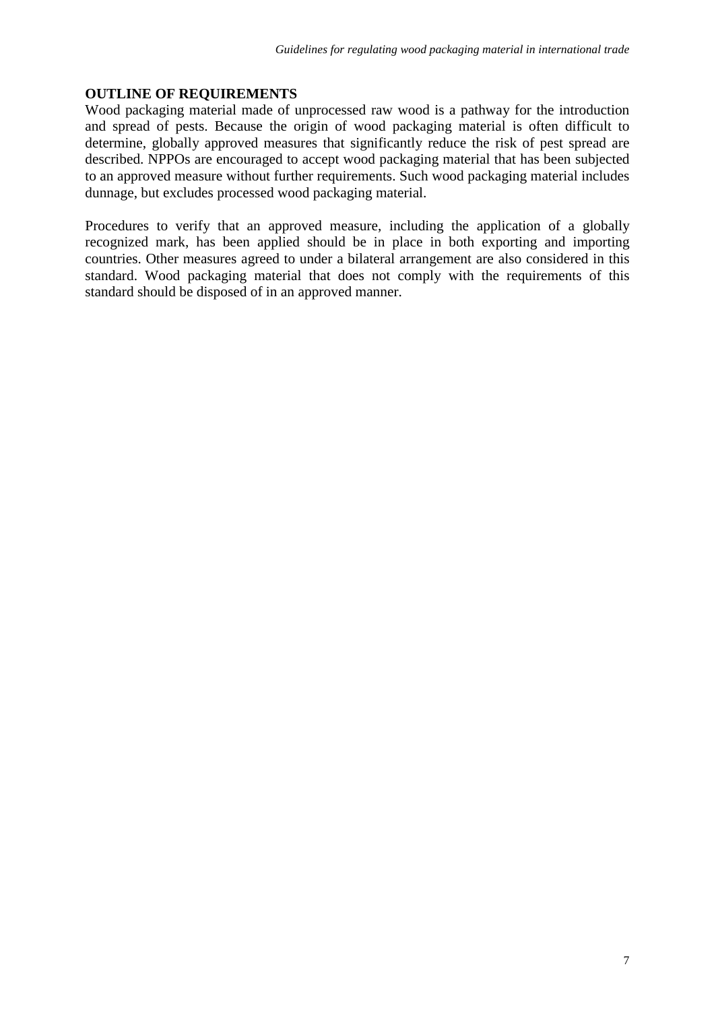# **OUTLINE OF REQUIREMENTS**

Wood packaging material made of unprocessed raw wood is a pathway for the introduction and spread of pests. Because the origin of wood packaging material is often difficult to determine, globally approved measures that significantly reduce the risk of pest spread are described. NPPOs are encouraged to accept wood packaging material that has been subjected to an approved measure without further requirements. Such wood packaging material includes dunnage, but excludes processed wood packaging material.

Procedures to verify that an approved measure, including the application of a globally recognized mark, has been applied should be in place in both exporting and importing countries. Other measures agreed to under a bilateral arrangement are also considered in this standard. Wood packaging material that does not comply with the requirements of this standard should be disposed of in an approved manner.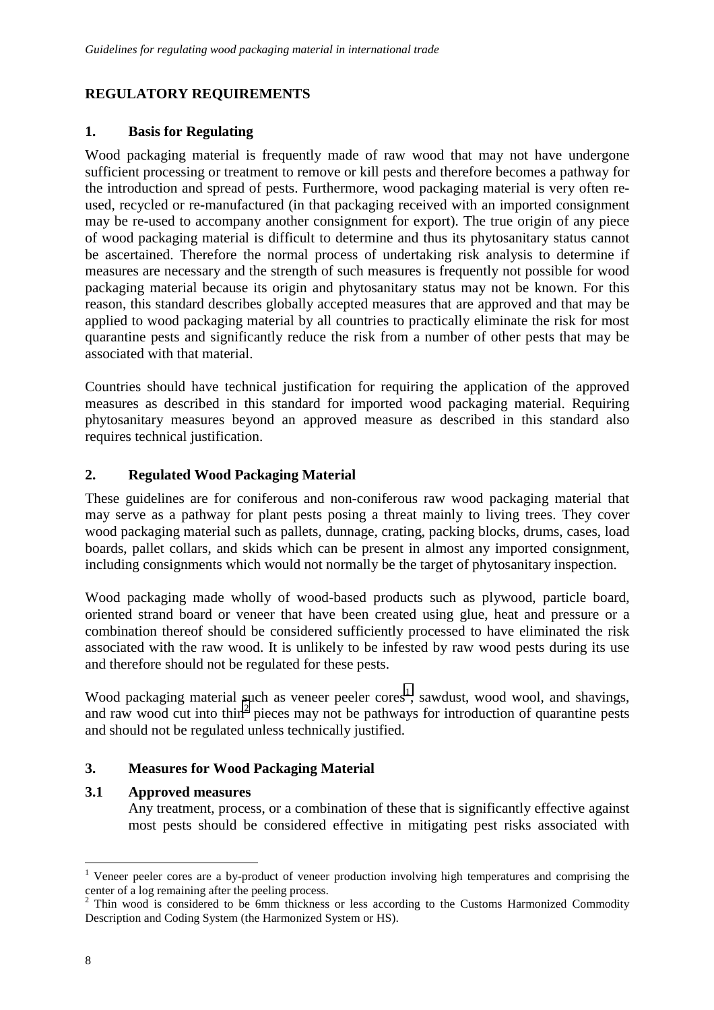# **REGULATORY REQUIREMENTS**

# **1. Basis for Regulating**

Wood packaging material is frequently made of raw wood that may not have undergone sufficient processing or treatment to remove or kill pests and therefore becomes a pathway for the introduction and spread of pests. Furthermore, wood packaging material is very often reused, recycled or re-manufactured (in that packaging received with an imported consignment may be re-used to accompany another consignment for export). The true origin of any piece of wood packaging material is difficult to determine and thus its phytosanitary status cannot be ascertained. Therefore the normal process of undertaking risk analysis to determine if measures are necessary and the strength of such measures is frequently not possible for wood packaging material because its origin and phytosanitary status may not be known. For this reason, this standard describes globally accepted measures that are approved and that may be applied to wood packaging material by all countries to practically eliminate the risk for most quarantine pests and significantly reduce the risk from a number of other pests that may be associated with that material.

Countries should have technical justification for requiring the application of the approved measures as described in this standard for imported wood packaging material. Requiring phytosanitary measures beyond an approved measure as described in this standard also requires technical justification.

# **2. Regulated Wood Packaging Material**

These guidelines are for coniferous and non-coniferous raw wood packaging material that may serve as a pathway for plant pests posing a threat mainly to living trees. They cover wood packaging material such as pallets, dunnage, crating, packing blocks, drums, cases, load boards, pallet collars, and skids which can be present in almost any imported consignment, including consignments which would not normally be the target of phytosanitary inspection.

Wood packaging made wholly of wood-based products such as plywood, particle board, oriented strand board or veneer that have been created using glue, heat and pressure or a combination thereof should be considered sufficiently processed to have eliminated the risk associated with the raw wood. It is unlikely to be infested by raw wood pests during its use and therefore should not be regulated for these pests.

Wood packaging material such as veneer peeler cores<sup>1</sup>, sawdust, wood wool, and shavings, and raw wood cut into thin<sup>2</sup> pieces may not be pathways for introduction of quarantine pests and should not be regulated unless technically justified.

# **3. Measures for Wood Packaging Material**

#### **3.1 Approved measures**

Any treatment, process, or a combination of these that is significantly effective against most pests should be considered effective in mitigating pest risks associated with

 $\overline{a}$ 

<sup>&</sup>lt;sup>1</sup> Veneer peeler cores are a by-product of veneer production involving high temperatures and comprising the center of a log remaining after the peeling process.

<sup>&</sup>lt;sup>2</sup> Thin wood is considered to be 6mm thickness or less according to the Customs Harmonized Commodity Description and Coding System (the Harmonized System or HS).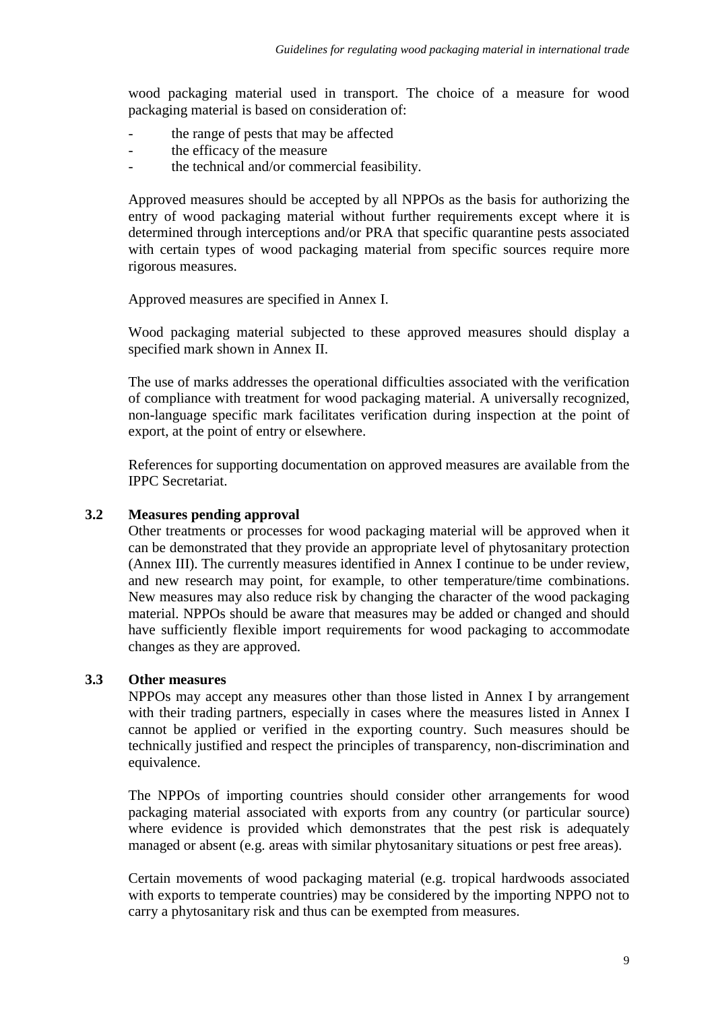wood packaging material used in transport. The choice of a measure for wood packaging material is based on consideration of:

- the range of pests that may be affected
- the efficacy of the measure
- the technical and/or commercial feasibility.

Approved measures should be accepted by all NPPOs as the basis for authorizing the entry of wood packaging material without further requirements except where it is determined through interceptions and/or PRA that specific quarantine pests associated with certain types of wood packaging material from specific sources require more rigorous measures.

Approved measures are specified in Annex I.

Wood packaging material subjected to these approved measures should display a specified mark shown in Annex II.

The use of marks addresses the operational difficulties associated with the verification of compliance with treatment for wood packaging material. A universally recognized, non-language specific mark facilitates verification during inspection at the point of export, at the point of entry or elsewhere.

References for supporting documentation on approved measures are available from the IPPC Secretariat.

#### **3.2 Measures pending approval**

Other treatments or processes for wood packaging material will be approved when it can be demonstrated that they provide an appropriate level of phytosanitary protection (Annex III). The currently measures identified in Annex I continue to be under review, and new research may point, for example, to other temperature/time combinations. New measures may also reduce risk by changing the character of the wood packaging material. NPPOs should be aware that measures may be added or changed and should have sufficiently flexible import requirements for wood packaging to accommodate changes as they are approved.

# **3.3 Other measures**

NPPOs may accept any measures other than those listed in Annex I by arrangement with their trading partners, especially in cases where the measures listed in Annex I cannot be applied or verified in the exporting country. Such measures should be technically justified and respect the principles of transparency, non-discrimination and equivalence.

The NPPOs of importing countries should consider other arrangements for wood packaging material associated with exports from any country (or particular source) where evidence is provided which demonstrates that the pest risk is adequately managed or absent (e.g. areas with similar phytosanitary situations or pest free areas).

Certain movements of wood packaging material (e.g. tropical hardwoods associated with exports to temperate countries) may be considered by the importing NPPO not to carry a phytosanitary risk and thus can be exempted from measures.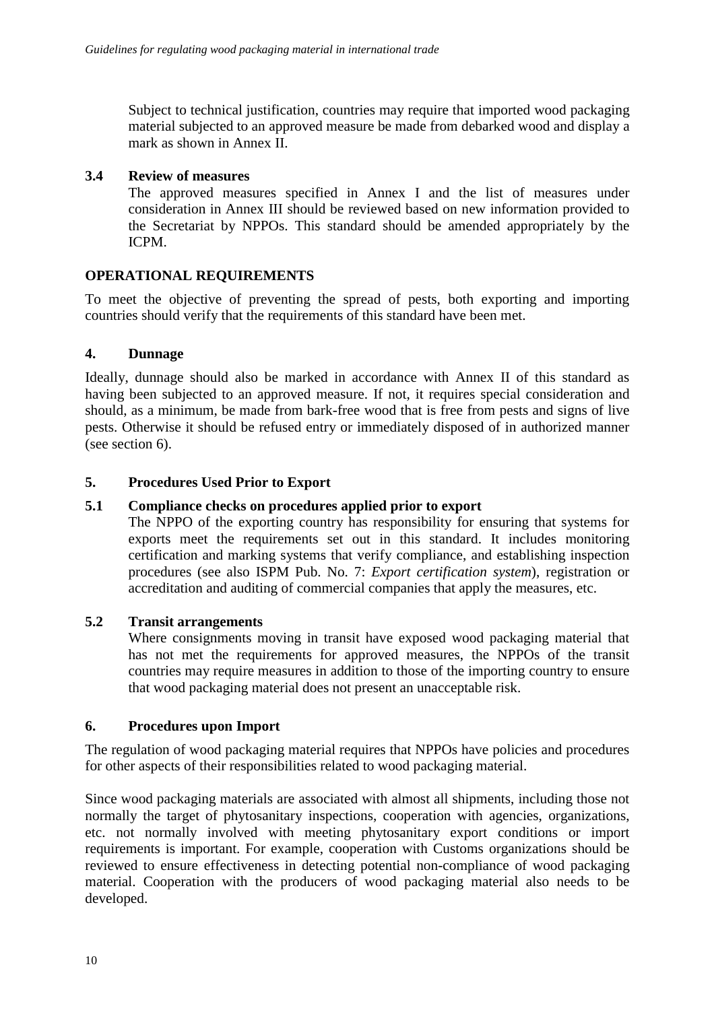Subject to technical justification, countries may require that imported wood packaging material subjected to an approved measure be made from debarked wood and display a mark as shown in Annex II.

# **3.4 Review of measures**

The approved measures specified in Annex I and the list of measures under consideration in Annex III should be reviewed based on new information provided to the Secretariat by NPPOs. This standard should be amended appropriately by the ICPM.

# **OPERATIONAL REQUIREMENTS**

To meet the objective of preventing the spread of pests, both exporting and importing countries should verify that the requirements of this standard have been met.

# **4. Dunnage**

Ideally, dunnage should also be marked in accordance with Annex II of this standard as having been subjected to an approved measure. If not, it requires special consideration and should, as a minimum, be made from bark-free wood that is free from pests and signs of live pests. Otherwise it should be refused entry or immediately disposed of in authorized manner (see section 6).

# **5. Procedures Used Prior to Export**

### **5.1 Compliance checks on procedures applied prior to export**

The NPPO of the exporting country has responsibility for ensuring that systems for exports meet the requirements set out in this standard. It includes monitoring certification and marking systems that verify compliance, and establishing inspection procedures (see also ISPM Pub. No. 7: *Export certification system*), registration or accreditation and auditing of commercial companies that apply the measures, etc.

#### **5.2 Transit arrangements**

Where consignments moving in transit have exposed wood packaging material that has not met the requirements for approved measures, the NPPOs of the transit countries may require measures in addition to those of the importing country to ensure that wood packaging material does not present an unacceptable risk.

#### **6. Procedures upon Import**

The regulation of wood packaging material requires that NPPOs have policies and procedures for other aspects of their responsibilities related to wood packaging material.

Since wood packaging materials are associated with almost all shipments, including those not normally the target of phytosanitary inspections, cooperation with agencies, organizations, etc. not normally involved with meeting phytosanitary export conditions or import requirements is important. For example, cooperation with Customs organizations should be reviewed to ensure effectiveness in detecting potential non-compliance of wood packaging material. Cooperation with the producers of wood packaging material also needs to be developed.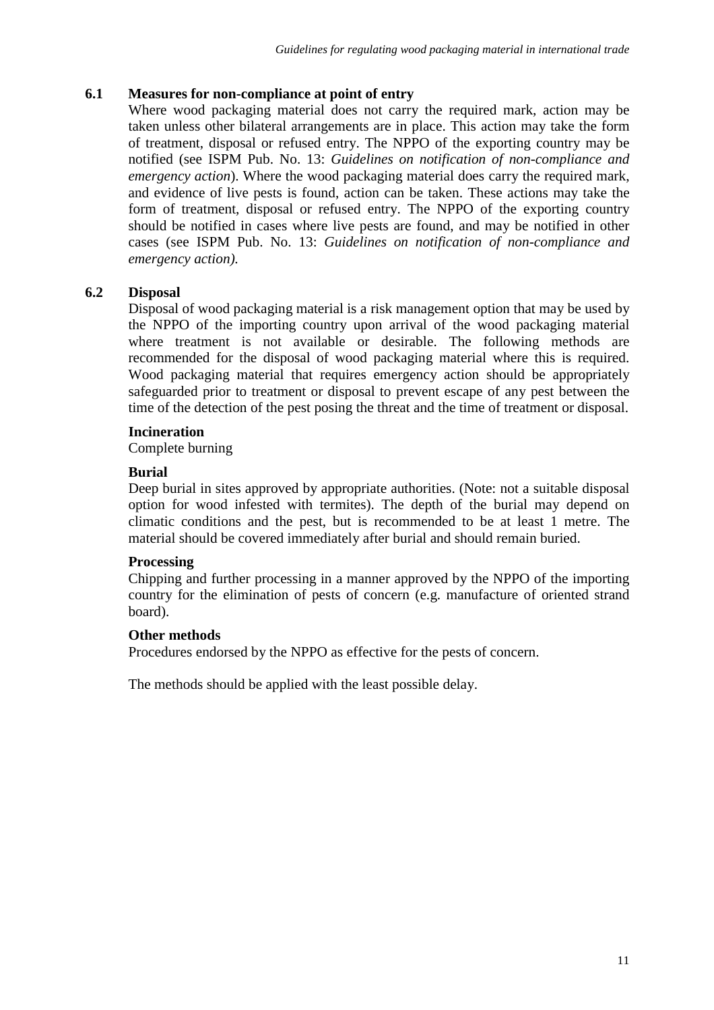# **6.1 Measures for non-compliance at point of entry**

Where wood packaging material does not carry the required mark, action may be taken unless other bilateral arrangements are in place. This action may take the form of treatment, disposal or refused entry. The NPPO of the exporting country may be notified (see ISPM Pub. No. 13: *Guidelines on notification of non-compliance and emergency action*). Where the wood packaging material does carry the required mark, and evidence of live pests is found, action can be taken. These actions may take the form of treatment, disposal or refused entry. The NPPO of the exporting country should be notified in cases where live pests are found, and may be notified in other cases (see ISPM Pub. No. 13: *Guidelines on notification of non-compliance and emergency action).*

# **6.2 Disposal**

Disposal of wood packaging material is a risk management option that may be used by the NPPO of the importing country upon arrival of the wood packaging material where treatment is not available or desirable. The following methods are recommended for the disposal of wood packaging material where this is required. Wood packaging material that requires emergency action should be appropriately safeguarded prior to treatment or disposal to prevent escape of any pest between the time of the detection of the pest posing the threat and the time of treatment or disposal.

# **Incineration**

Complete burning

# **Burial**

Deep burial in sites approved by appropriate authorities. (Note: not a suitable disposal option for wood infested with termites). The depth of the burial may depend on climatic conditions and the pest, but is recommended to be at least 1 metre. The material should be covered immediately after burial and should remain buried.

#### **Processing**

Chipping and further processing in a manner approved by the NPPO of the importing country for the elimination of pests of concern (e.g. manufacture of oriented strand board).

#### **Other methods**

Procedures endorsed by the NPPO as effective for the pests of concern.

The methods should be applied with the least possible delay.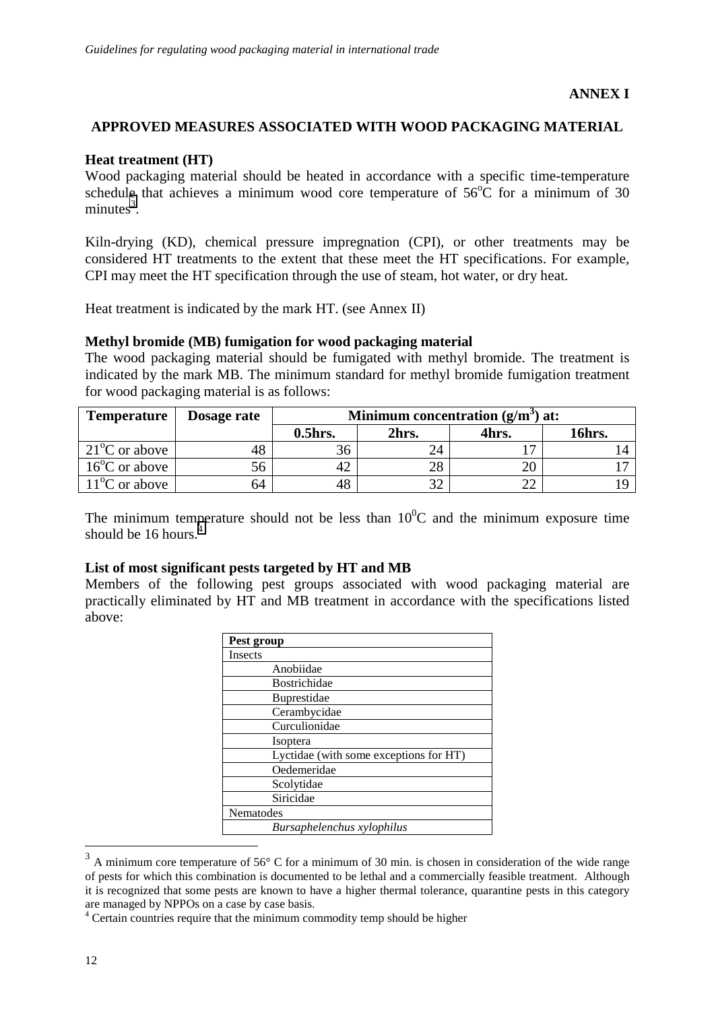# **APPROVED MEASURES ASSOCIATED WITH WOOD PACKAGING MATERIAL**

### **Heat treatment (HT)**

Wood packaging material should be heated in accordance with a specific time-temperature schedule that achieves a minimum wood core temperature of  $56^{\circ}$ C for a minimum of 30  $minutes<sup>3</sup>$ .

Kiln-drying (KD), chemical pressure impregnation (CPI), or other treatments may be considered HT treatments to the extent that these meet the HT specifications. For example, CPI may meet the HT specification through the use of steam, hot water, or dry heat.

Heat treatment is indicated by the mark HT. (see Annex II)

#### **Methyl bromide (MB) fumigation for wood packaging material**

The wood packaging material should be fumigated with methyl bromide. The treatment is indicated by the mark MB. The minimum standard for methyl bromide fumigation treatment for wood packaging material is as follows:

| <b>Temperature</b>      | Dosage rate | Minimum concentration $(g/m^3)$ at: |       |       |        |
|-------------------------|-------------|-------------------------------------|-------|-------|--------|
|                         |             | $0.5$ hrs.                          | 2hrs. | 4hrs. | 16hrs. |
| $21^{\circ}$ C or above | 48          |                                     | 24    |       |        |
| $16^{\circ}$ C or above | 56          |                                     | 28    |       |        |
| $11^{\circ}$ C or above | 64          |                                     | າາ    | ^^    |        |

The minimum temperature should not be less than  $10^{0}$ C and the minimum exposure time should be 16 hours.<sup>4</sup>

#### **List of most significant pests targeted by HT and MB**

Members of the following pest groups associated with wood packaging material are practically eliminated by HT and MB treatment in accordance with the specifications listed above:

| Pest group                             |  |  |
|----------------------------------------|--|--|
| <b>Insects</b>                         |  |  |
| Anobiidae                              |  |  |
| Bostrichidae                           |  |  |
| Buprestidae                            |  |  |
| Cerambycidae                           |  |  |
| Curculionidae                          |  |  |
| Isoptera                               |  |  |
| Lyctidae (with some exceptions for HT) |  |  |
| Oedemeridae                            |  |  |
| Scolytidae                             |  |  |
| Siricidae                              |  |  |
| Nematodes                              |  |  |
| Bursaphelenchus xylophilus             |  |  |

 $3$  A minimum core temperature of 56 $\degree$  C for a minimum of 30 min. is chosen in consideration of the wide range of pests for which this combination is documented to be lethal and a commercially feasible treatment. Although it is recognized that some pests are known to have a higher thermal tolerance, quarantine pests in this category are managed by NPPOs on a case by case basis.

 $\overline{a}$ 

<sup>&</sup>lt;sup>4</sup> Certain countries require that the minimum commodity temp should be higher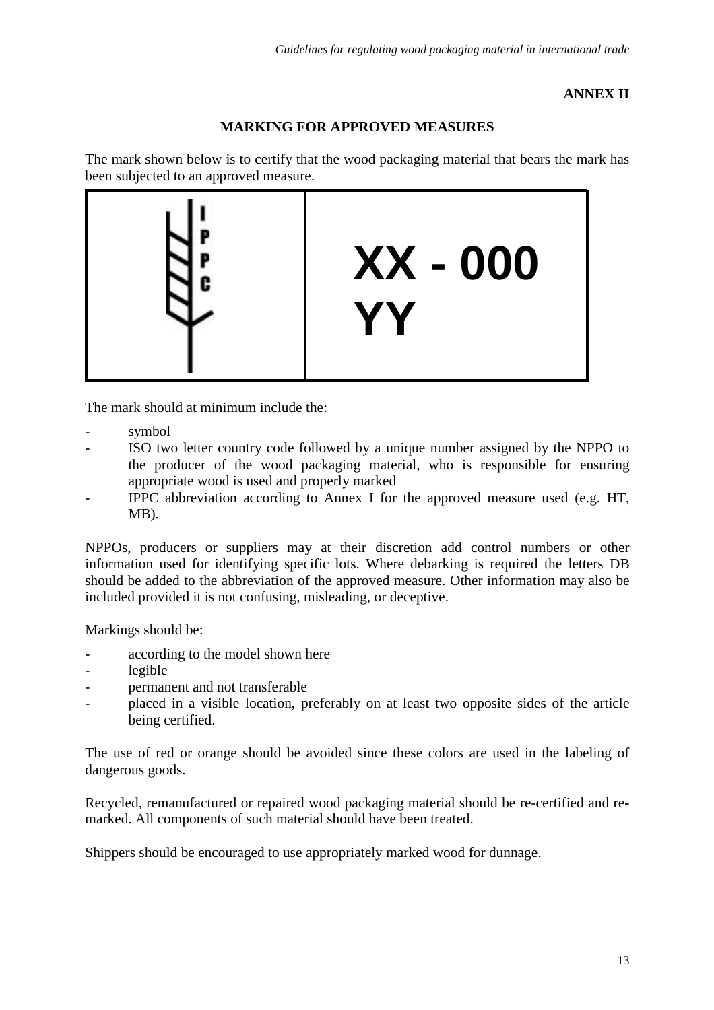# **ANNEX II**

# **MARKING FOR APPROVED MEASURES**

The mark shown below is to certify that the wood packaging material that bears the mark has been subjected to an approved measure.



The mark should at minimum include the:

- symbol
- ISO two letter country code followed by a unique number assigned by the NPPO to the producer of the wood packaging material, who is responsible for ensuring appropriate wood is used and properly marked
- IPPC abbreviation according to Annex I for the approved measure used (e.g. HT, MB).

NPPOs, producers or suppliers may at their discretion add control numbers or other information used for identifying specific lots. Where debarking is required the letters DB should be added to the abbreviation of the approved measure. Other information may also be included provided it is not confusing, misleading, or deceptive.

Markings should be:

- according to the model shown here
- legible
- permanent and not transferable
- placed in a visible location, preferably on at least two opposite sides of the article being certified.

The use of red or orange should be avoided since these colors are used in the labeling of dangerous goods.

Recycled, remanufactured or repaired wood packaging material should be re-certified and remarked. All components of such material should have been treated.

Shippers should be encouraged to use appropriately marked wood for dunnage.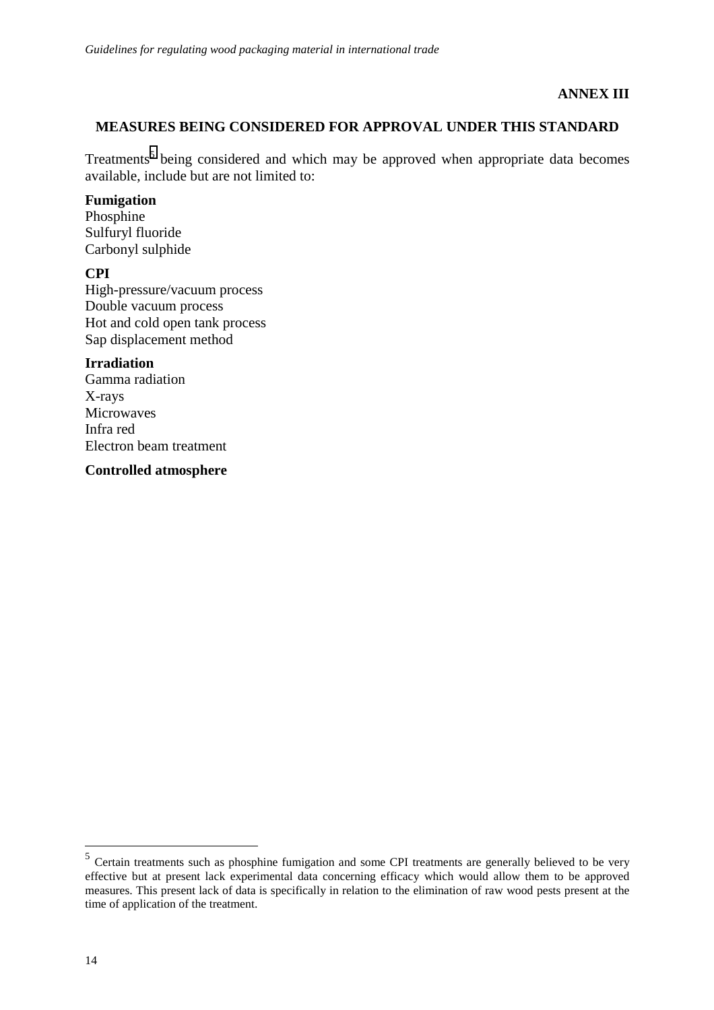# **ANNEX III**

# **MEASURES BEING CONSIDERED FOR APPROVAL UNDER THIS STANDARD**

Treatments<sup>5</sup> being considered and which may be approved when appropriate data becomes available, include but are not limited to:

#### **Fumigation**

Phosphine Sulfuryl fluoride Carbonyl sulphide

# **CPI**

High-pressure/vacuum process Double vacuum process Hot and cold open tank process Sap displacement method

#### **Irradiation**

Gamma radiation X-rays **Microwaves** Infra red Electron beam treatment

**Controlled atmosphere**

 $\overline{a}$ 

<sup>5</sup> Certain treatments such as phosphine fumigation and some CPI treatments are generally believed to be very effective but at present lack experimental data concerning efficacy which would allow them to be approved measures. This present lack of data is specifically in relation to the elimination of raw wood pests present at the time of application of the treatment.